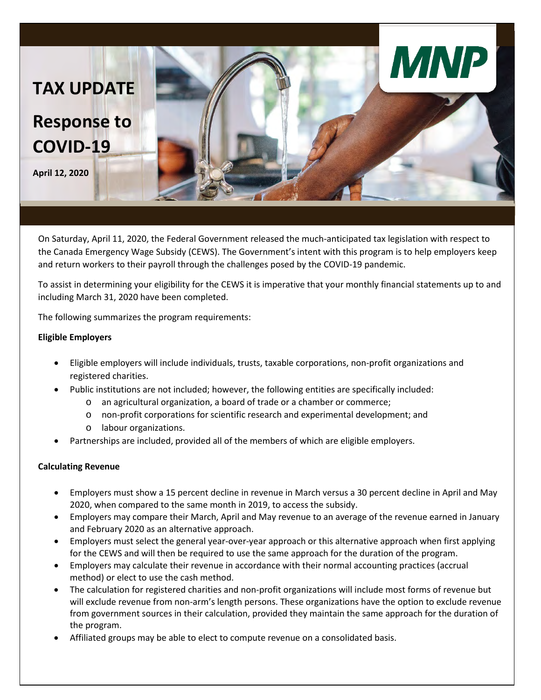

On Saturday, April 11, 2020, the Federal Government released the much-anticipated tax legislation with respect to the Canada Emergency Wage Subsidy (CEWS). The Government's intent with this program is to help employers keep and return workers to their payroll through the challenges posed by the COVID-19 pandemic.

To assist in determining your eligibility for the CEWS it is imperative that your monthly financial statements up to and including March 31, 2020 have been completed.

The following summarizes the program requirements:

## **Eligible Employers**

- Eligible employers will include individuals, trusts, taxable corporations, non-profit organizations and registered charities.
- Public institutions are not included; however, the following entities are specifically included:
	- o an agricultural organization, a board of trade or a chamber or commerce;
	- o non-profit corporations for scientific research and experimental development; and
	- o labour organizations.
- Partnerships are included, provided all of the members of which are eligible employers.

## **Calculating Revenue**

- Employers must show a 15 percent decline in revenue in March versus a 30 percent decline in April and May 2020, when compared to the same month in 2019, to access the subsidy.
- Employers may compare their March, April and May revenue to an average of the revenue earned in January and February 2020 as an alternative approach.
- Employers must select the general year-over-year approach or this alternative approach when first applying for the CEWS and will then be required to use the same approach for the duration of the program.
- Employers may calculate their revenue in accordance with their normal accounting practices (accrual method) or elect to use the cash method.
- The calculation for registered charities and non-profit organizations will include most forms of revenue but will exclude revenue from non-arm's length persons. These organizations have the option to exclude revenue from government sources in their calculation, provided they maintain the same approach for the duration of the program.
- Affiliated groups may be able to elect to compute revenue on a consolidated basis.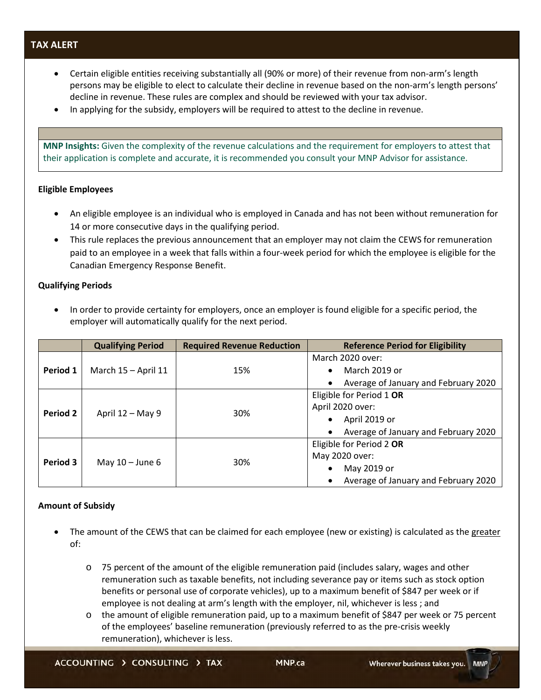# **TAX ALERT**

- Certain eligible entities receiving substantially all (90% or more) of their revenue from non-arm's length persons may be eligible to elect to calculate their decline in revenue based on the non-arm's length persons' decline in revenue. These rules are complex and should be reviewed with your tax advisor.
- In applying for the subsidy, employers will be required to attest to the decline in revenue.

**MNP Insights:** Given the complexity of the revenue calculations and the requirement for employers to attest that their application is complete and accurate, it is recommended you consult your MNP Advisor for assistance.

### **Eligible Employees**

- An eligible employee is an individual who is employed in Canada and has not been without remuneration for 14 or more consecutive days in the qualifying period.
- This rule replaces the previous announcement that an employer may not claim the CEWS for remuneration paid to an employee in a week that falls within a four-week period for which the employee is eligible for the Canadian Emergency Response Benefit.

## **Qualifying Periods**

• In order to provide certainty for employers, once an employer is found eligible for a specific period, the employer will automatically qualify for the next period.

|          | <b>Qualifying Period</b> | <b>Required Revenue Reduction</b> | <b>Reference Period for Eligibility</b> |
|----------|--------------------------|-----------------------------------|-----------------------------------------|
| Period 1 | March 15 - April 11      | 15%                               | March 2020 over:                        |
|          |                          |                                   | March 2019 or<br>$\bullet$              |
|          |                          |                                   | Average of January and February 2020    |
| Period 2 | April 12 – May 9         | 30%                               | Eligible for Period 1 OR                |
|          |                          |                                   | April 2020 over:                        |
|          |                          |                                   | April 2019 or                           |
|          |                          |                                   | Average of January and February 2020    |
| Period 3 | May $10 -$ June 6        | 30%                               | Eligible for Period 2 OR                |
|          |                          |                                   | May 2020 over:                          |
|          |                          |                                   | May 2019 or                             |
|          |                          |                                   | Average of January and February 2020    |

### **Amount of Subsidy**

- The amount of the CEWS that can be claimed for each employee (new or existing) is calculated as the greater of:
	- o 75 percent of the amount of the eligible remuneration paid (includes salary, wages and other remuneration such as taxable benefits, not including severance pay or items such as stock option benefits or personal use of corporate vehicles), up to a maximum benefit of \$847 per week or if employee is not dealing at arm's length with the employer, nil, whichever is less ; and
	- o the amount of eligible remuneration paid, up to a maximum benefit of \$847 per week or 75 percent of the employees' baseline remuneration (previously referred to as the pre-crisis weekly remuneration), whichever is less.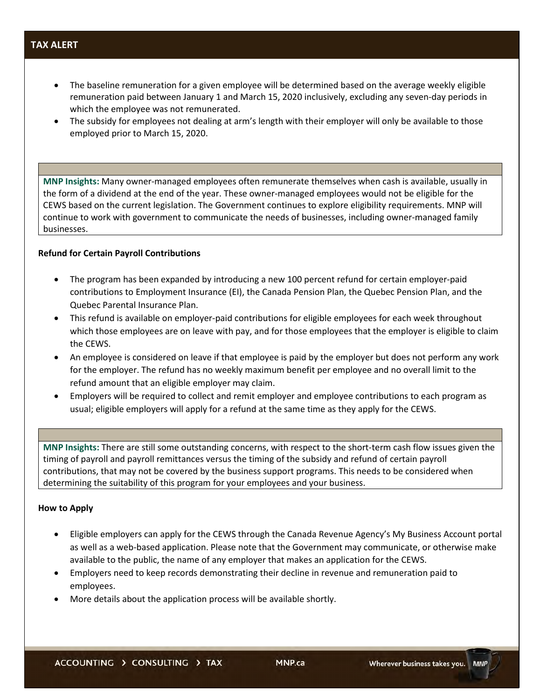# **TAX ALERT**

- The baseline remuneration for a given employee will be determined based on the average weekly eligible remuneration paid between January 1 and March 15, 2020 inclusively, excluding any seven-day periods in which the employee was not remunerated.
- The subsidy for employees not dealing at arm's length with their employer will only be available to those employed prior to March 15, 2020.

**MNP Insights:** Many owner-managed employees often remunerate themselves when cash is available, usually in the form of a dividend at the end of the year. These owner-managed employees would not be eligible for the CEWS based on the current legislation. The Government continues to explore eligibility requirements. MNP will continue to work with government to communicate the needs of businesses, including owner-managed family businesses.

### **Refund for Certain Payroll Contributions**

- The program has been expanded by introducing a new 100 percent refund for certain employer-paid contributions to Employment Insurance (EI), the Canada Pension Plan, the Quebec Pension Plan, and the Quebec Parental Insurance Plan.
- This refund is available on employer-paid contributions for eligible employees for each week throughout which those employees are on leave with pay, and for those employees that the employer is eligible to claim the CEWS.
- An employee is considered on leave if that employee is paid by the employer but does not perform any work for the employer. The refund has no weekly maximum benefit per employee and no overall limit to the refund amount that an eligible employer may claim.
- Employers will be required to collect and remit employer and employee contributions to each program as usual; eligible employers will apply for a refund at the same time as they apply for the CEWS.

**MNP Insights:** There are still some outstanding concerns, with respect to the short-term cash flow issues given the timing of payroll and payroll remittances versus the timing of the subsidy and refund of certain payroll contributions, that may not be covered by the business support programs. This needs to be considered when determining the suitability of this program for your employees and your business.

### **How to Apply**

- Eligible employers can apply for the CEWS through the Canada Revenue Agency's My Business Account portal as well as a web-based application. Please note that the Government may communicate, or otherwise make available to the public, the name of any employer that makes an application for the CEWS.
- Employers need to keep records demonstrating their decline in revenue and remuneration paid to employees.
- More details about the application process will be available shortly.